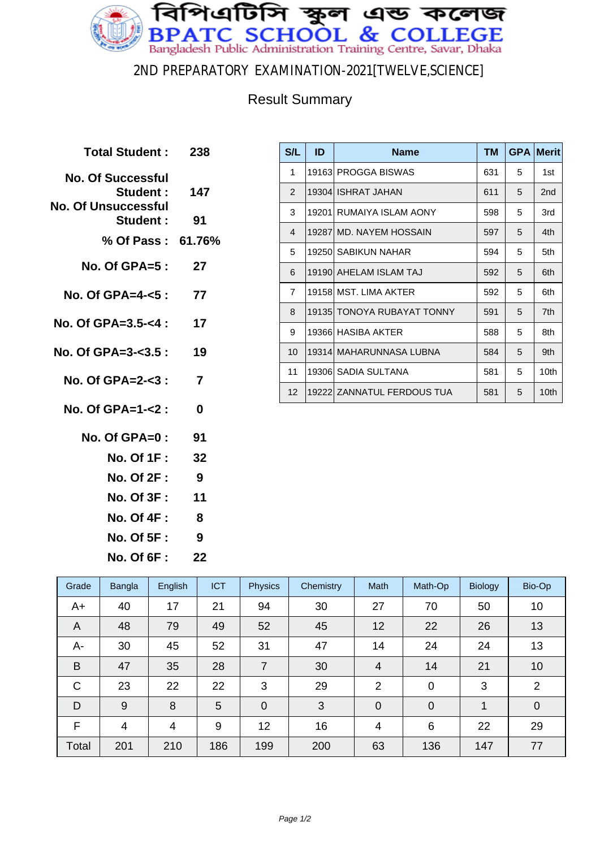

2ND PREPARATORY EXAMINATION-2021[TWELVE,SCIENCE]

## Result Summary

| <b>Total Student :</b>                                                                       | -238           |
|----------------------------------------------------------------------------------------------|----------------|
| <b>No. Of Successful</b><br><b>Student:</b><br><b>No. Of Unsuccessful</b><br><b>Student:</b> | 147<br>91      |
| % Of Pass: 61.76%                                                                            |                |
| No. Of GPA=5 :                                                                               | 27             |
| No. Of GPA=4-<5 :                                                                            | 77             |
| No. Of GPA=3.5-<4 : $17$                                                                     |                |
| No. Of GPA=3-<3.5 : 19                                                                       |                |
| No. Of GPA=2-<3 :                                                                            | $\overline{7}$ |
| No. Of GPA=1- $<$ 2 :                                                                        | 0              |
| No. Of GPA=0 :                                                                               | 91             |
| <b>No. Of 1F :</b>                                                                           | 32             |
| <b>No. Of 2F :</b>                                                                           | 9              |
| No. Of 3F: 11                                                                                |                |
| No. Of 4F :                                                                                  | 8              |
|                                                                                              |                |

**No. Of 5F : 9 No. Of 6F : 22**

| S/L            | ID | <b>Name</b>                | <b>TM</b> |   | <b>GPA Merit</b> |
|----------------|----|----------------------------|-----------|---|------------------|
| 1              |    | 19163 PROGGA BISWAS        | 631       | 5 | 1st              |
| $\overline{2}$ |    | 19304 ISHRAT JAHAN         | 611       | 5 | 2 <sub>nd</sub>  |
| 3              |    | 19201 RUMAIYA ISLAM AONY   | 598       | 5 | 3rd              |
| 4              |    | 19287 MD. NAYEM HOSSAIN    | 597       | 5 | 4th              |
| 5              |    | 19250 SABIKUN NAHAR        | 594       | 5 | 5th              |
| 6              |    | 19190 AHELAM ISLAM TAJ     | 592       | 5 | 6th              |
| $\overline{7}$ |    | 19158 MST. LIMA AKTER      | 592       | 5 | 6th              |
| 8              |    | 19135 TONOYA RUBAYAT TONNY | 591       | 5 | 7th              |
| 9              |    | 19366 HASIBA AKTER         | 588       | 5 | 8th              |
| 10             |    | 19314   MAHARUNNASA LUBNA  | 584       | 5 | 9th              |
| 11             |    | 19306 SADIA SULTANA        | 581       | 5 | 10th             |
| 12             |    | 19222 ZANNATUL FERDOUS TUA | 581       | 5 | 10th             |

| Grade | Bangla         | English | <b>ICT</b> | <b>Physics</b> | Chemistry | Math           | Math-Op        | <b>Biology</b> | Bio-Op         |
|-------|----------------|---------|------------|----------------|-----------|----------------|----------------|----------------|----------------|
| A+    | 40             | 17      | 21         | 94             | 30        | 27             | 70             | 50             | 10             |
| A     | 48             | 79      | 49         | 52             | 45        | 12             | 22             | 26             | 13             |
| A-    | 30             | 45      | 52         | 31             | 47        | 14             | 24             | 24             | 13             |
| B     | 47             | 35      | 28         | 7              | 30        | 4              | 14             | 21             | 10             |
| C     | 23             | 22      | 22         | 3              | 29        | $\overline{2}$ | $\mathbf 0$    | 3              | $\overline{2}$ |
| D     | 9              | 8       | 5          | $\mathbf 0$    | 3         | $\overline{0}$ | $\overline{0}$ | 1              | $\mathbf 0$    |
| F     | $\overline{4}$ | 4       | 9          | 12             | 16        | 4              | 6              | 22             | 29             |
| Total | 201            | 210     | 186        | 199            | 200       | 63             | 136            | 147            | 77             |